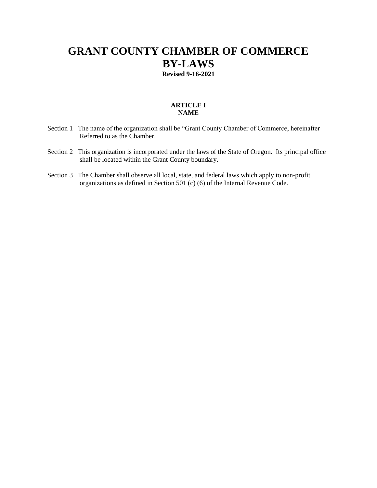# **GRANT COUNTY CHAMBER OF COMMERCE BY-LAWS Revised 9-16-2021**

## **ARTICLE I NAME**

- Section 1 The name of the organization shall be "Grant County Chamber of Commerce, hereinafter Referred to as the Chamber.
- Section 2 This organization is incorporated under the laws of the State of Oregon. Its principal office shall be located within the Grant County boundary.
- Section 3 The Chamber shall observe all local, state, and federal laws which apply to non-profit organizations as defined in Section 501 (c) (6) of the Internal Revenue Code.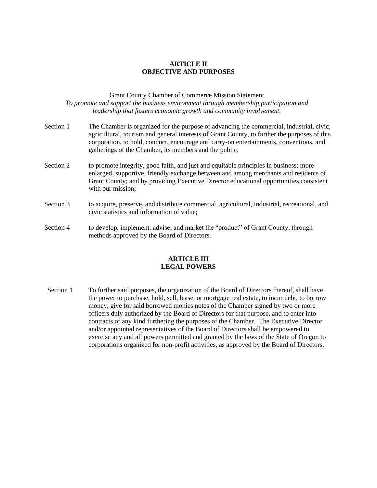## **ARTICLE II OBJECTIVE AND PURPOSES**

## Grant County Chamber of Commerce Mission Statement *To promote and support the business environment through membership participation and leadership that fosters economic growth and community involvement.*

- Section 1 The Chamber is organized for the purpose of advancing the commercial, industrial, civic, agricultural, tourism and general interests of Grant County, to further the purposes of this corporation, to hold, conduct, encourage and carry-on entertainments, conventions, and gatherings of the Chamber, its members and the public;
- Section 2 to promote integrity, good faith, and just and equitable principles in business; more enlarged, supportive, friendly exchange between and among merchants and residents of Grant County; and by providing Executive Director educational opportunities consistent with our mission;
- Section 3 to acquire, preserve, and distribute commercial, agricultural, industrial, recreational, and civic statistics and information of value;
- Section 4 to develop, implement, advise, and market the "product" of Grant County, through methods approved by the Board of Directors.

#### **ARTICLE III LEGAL POWERS**

Section 1 To further said purposes, the organization of the Board of Directors thereof, shall have the power to purchase, hold, sell, lease, or mortgage real estate, to incur debt, to borrow money, give for said borrowed monies notes of the Chamber signed by two or more officers duly authorized by the Board of Directors for that purpose, and to enter into contracts of any kind furthering the purposes of the Chamber. The Executive Director and/or appointed representatives of the Board of Directors shall be empowered to exercise any and all powers permitted and granted by the laws of the State of Oregon to corporations organized for non-profit activities, as approved by the Board of Directors.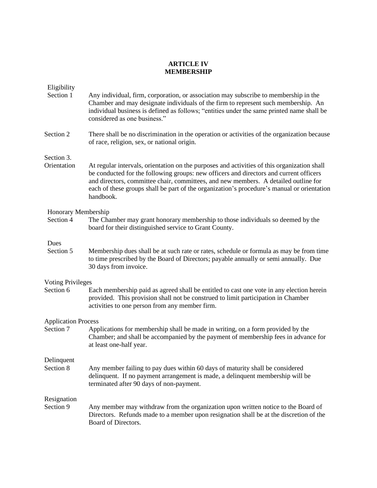## **ARTICLE IV MEMBERSHIP**

|  | Eligibility |  |
|--|-------------|--|
|  |             |  |

- Section 1 Any individual, firm, corporation, or association may subscribe to membership in the Chamber and may designate individuals of the firm to represent such membership. An individual business is defined as follows; "entities under the same printed name shall be considered as one business."
- Section 2 There shall be no discrimination in the operation or activities of the organization because of race, religion, sex, or national origin.

Section 3.

Orientation At regular intervals, orientation on the purposes and activities of this organization shall be conducted for the following groups: new officers and directors and current officers and directors, committee chair, committees, and new members. A detailed outline for each of these groups shall be part of the organization's procedure's manual or orientation handbook.

## Honorary Membership

Section 4 The Chamber may grant honorary membership to those individuals so deemed by the board for their distinguished service to Grant County.

## Dues

Section 5 Membership dues shall be at such rate or rates, schedule or formula as may be from time to time prescribed by the Board of Directors; payable annually or semi annually. Due 30 days from invoice.

#### Voting Privileges

Section 6 Each membership paid as agreed shall be entitled to cast one vote in any election herein provided. This provision shall not be construed to limit participation in Chamber activities to one person from any member firm.

## Application Process

Section 7 Applications for membership shall be made in writing, on a form provided by the Chamber; and shall be accompanied by the payment of membership fees in advance for at least one-half year.

Delinquent

Section 8 Any member failing to pay dues within 60 days of maturity shall be considered delinquent. If no payment arrangement is made, a delinquent membership will be terminated after 90 days of non-payment.

## Resignation

Section 9 Any member may withdraw from the organization upon written notice to the Board of Directors. Refunds made to a member upon resignation shall be at the discretion of the Board of Directors.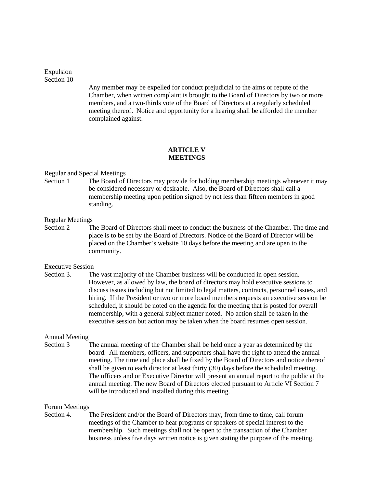Expulsion Section 10

> Any member may be expelled for conduct prejudicial to the aims or repute of the Chamber, when written complaint is brought to the Board of Directors by two or more members, and a two-thirds vote of the Board of Directors at a regularly scheduled meeting thereof. Notice and opportunity for a hearing shall be afforded the member complained against.

## **ARTICLE V MEETINGS**

#### Regular and Special Meetings

Section 1 The Board of Directors may provide for holding membership meetings whenever it may be considered necessary or desirable. Also, the Board of Directors shall call a membership meeting upon petition signed by not less than fifteen members in good standing.

#### Regular Meetings

Section 2 The Board of Directors shall meet to conduct the business of the Chamber. The time and place is to be set by the Board of Directors. Notice of the Board of Director will be placed on the Chamber's website 10 days before the meeting and are open to the community.

#### Executive Session

Section 3. The vast majority of the Chamber business will be conducted in open session. However, as allowed by law, the board of directors may hold executive sessions to discuss issues including but not limited to legal matters, contracts, personnel issues, and hiring. If the President or two or more board members requests an executive session be scheduled, it should be noted on the agenda for the meeting that is posted for overall membership, with a general subject matter noted. No action shall be taken in the executive session but action may be taken when the board resumes open session.

## Annual Meeting

Section 3 The annual meeting of the Chamber shall be held once a year as determined by the board. All members, officers, and supporters shall have the right to attend the annual meeting. The time and place shall be fixed by the Board of Directors and notice thereof shall be given to each director at least thirty (30) days before the scheduled meeting. The officers and or Executive Director will present an annual report to the public at the annual meeting. The new Board of Directors elected pursuant to Article VI Section 7 will be introduced and installed during this meeting.

#### Forum Meetings

Section 4. The President and/or the Board of Directors may, from time to time, call forum meetings of the Chamber to hear programs or speakers of special interest to the membership. Such meetings shall not be open to the transaction of the Chamber business unless five days written notice is given stating the purpose of the meeting.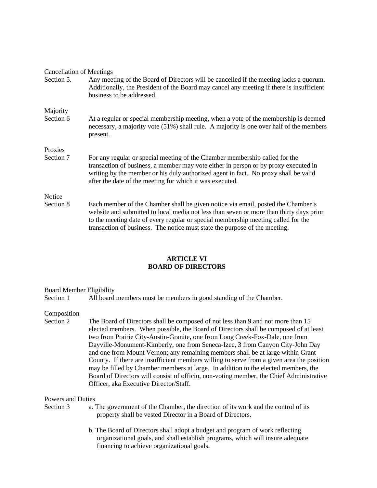| <b>Cancellation of Meetings</b> |                                                                                                                                                                                                                                                                                                                                                |
|---------------------------------|------------------------------------------------------------------------------------------------------------------------------------------------------------------------------------------------------------------------------------------------------------------------------------------------------------------------------------------------|
| Section 5.                      | Any meeting of the Board of Directors will be cancelled if the meeting lacks a quorum.<br>Additionally, the President of the Board may cancel any meeting if there is insufficient<br>business to be addressed.                                                                                                                                |
| Majority                        |                                                                                                                                                                                                                                                                                                                                                |
| Section 6                       | At a regular or special membership meeting, when a vote of the membership is deemed<br>necessary, a majority vote (51%) shall rule. A majority is one over half of the members<br>present.                                                                                                                                                     |
| Proxies                         |                                                                                                                                                                                                                                                                                                                                                |
| Section 7                       | For any regular or special meeting of the Chamber membership called for the<br>transaction of business, a member may vote either in person or by proxy executed in<br>writing by the member or his duly authorized agent in fact. No proxy shall be valid<br>after the date of the meeting for which it was executed.                          |
| Notice                          |                                                                                                                                                                                                                                                                                                                                                |
| Section 8                       | Each member of the Chamber shall be given notice via email, posted the Chamber's<br>website and submitted to local media not less than seven or more than thirty days prior<br>to the meeting date of every regular or special membership meeting called for the<br>transaction of business. The notice must state the purpose of the meeting. |

## **ARTICLE VI BOARD OF DIRECTORS**

#### Board Member Eligibility

Section 1 All board members must be members in good standing of the Chamber.

## Composition

Section 2 The Board of Directors shall be composed of not less than 9 and not more than 15 elected members. When possible, the Board of Directors shall be composed of at least two from Prairie City-Austin-Granite, one from Long Creek-Fox-Dale, one from Dayville-Monument-Kimberly, one from Seneca-Izee, 3 from Canyon City-John Day and one from Mount Vernon; any remaining members shall be at large within Grant County. If there are insufficient members willing to serve from a given area the position may be filled by Chamber members at large. In addition to the elected members, the Board of Directors will consist of officio, non-voting member, the Chief Administrative Officer, aka Executive Director/Staff.

#### Powers and Duties

- 
- Section 3 a. The government of the Chamber, the direction of its work and the control of its property shall be vested Director in a Board of Directors.
	- b. The Board of Directors shall adopt a budget and program of work reflecting organizational goals, and shall establish programs, which will insure adequate financing to achieve organizational goals.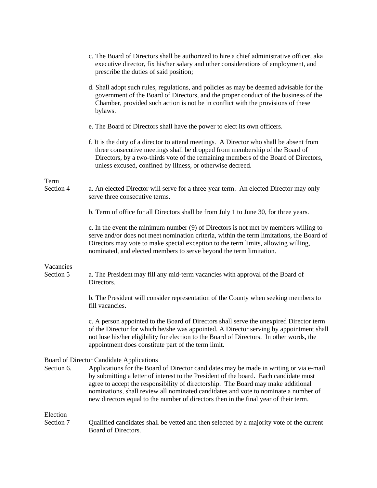|                        | c. The Board of Directors shall be authorized to hire a chief administrative officer, aka<br>executive director, fix his/her salary and other considerations of employment, and<br>prescribe the duties of said position;                                                                                                                                                                                                                           |
|------------------------|-----------------------------------------------------------------------------------------------------------------------------------------------------------------------------------------------------------------------------------------------------------------------------------------------------------------------------------------------------------------------------------------------------------------------------------------------------|
|                        | d. Shall adopt such rules, regulations, and policies as may be deemed advisable for the<br>government of the Board of Directors, and the proper conduct of the business of the<br>Chamber, provided such action is not be in conflict with the provisions of these<br>bylaws.                                                                                                                                                                       |
|                        | e. The Board of Directors shall have the power to elect its own officers.                                                                                                                                                                                                                                                                                                                                                                           |
|                        | f. It is the duty of a director to attend meetings. A Director who shall be absent from<br>three consecutive meetings shall be dropped from membership of the Board of<br>Directors, by a two-thirds vote of the remaining members of the Board of Directors,<br>unless excused, confined by illness, or otherwise decreed.                                                                                                                         |
| Term<br>Section 4      | a. An elected Director will serve for a three-year term. An elected Director may only<br>serve three consecutive terms.                                                                                                                                                                                                                                                                                                                             |
|                        | b. Term of office for all Directors shall be from July 1 to June 30, for three years.                                                                                                                                                                                                                                                                                                                                                               |
|                        | c. In the event the minimum number (9) of Directors is not met by members willing to<br>serve and/or does not meet nomination criteria, within the term limitations, the Board of<br>Directors may vote to make special exception to the term limits, allowing willing,<br>nominated, and elected members to serve beyond the term limitation.                                                                                                      |
| Vacancies<br>Section 5 | a. The President may fill any mid-term vacancies with approval of the Board of<br>Directors.                                                                                                                                                                                                                                                                                                                                                        |
|                        | b. The President will consider representation of the County when seeking members to<br>fill vacancies.                                                                                                                                                                                                                                                                                                                                              |
|                        | c. A person appointed to the Board of Directors shall serve the unexpired Director term<br>of the Director for which he/she was appointed. A Director serving by appointment shall<br>not lose his/her eligibility for election to the Board of Directors. In other words, the<br>appointment does constitute part of the term limit.                                                                                                               |
|                        | <b>Board of Director Candidate Applications</b>                                                                                                                                                                                                                                                                                                                                                                                                     |
| Section 6.             | Applications for the Board of Director candidates may be made in writing or via e-mail<br>by submitting a letter of interest to the President of the board. Each candidate must<br>agree to accept the responsibility of directorship. The Board may make additional<br>nominations, shall review all nominated candidates and vote to nominate a number of<br>new directors equal to the number of directors then in the final year of their term. |
| Election               |                                                                                                                                                                                                                                                                                                                                                                                                                                                     |
| Section 7              | Qualified candidates shall be vetted and then selected by a majority vote of the current<br>Board of Directors.                                                                                                                                                                                                                                                                                                                                     |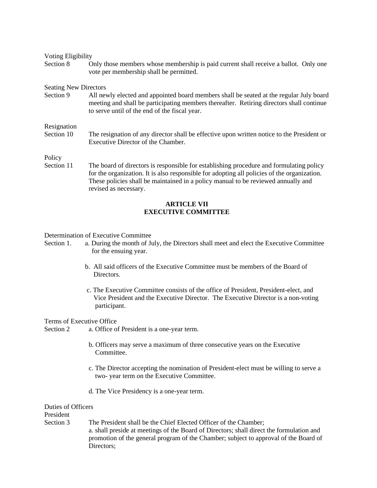| Voting Eligibility           |                                                                                                                                                                                                                                                                                                      |
|------------------------------|------------------------------------------------------------------------------------------------------------------------------------------------------------------------------------------------------------------------------------------------------------------------------------------------------|
| Section 8                    | Only those members whose membership is paid current shall receive a ballot. Only one<br>vote per membership shall be permitted.                                                                                                                                                                      |
| <b>Seating New Directors</b> |                                                                                                                                                                                                                                                                                                      |
| Section 9                    | All newly elected and appointed board members shall be seated at the regular July board<br>meeting and shall be participating members thereafter. Retiring directors shall continue<br>to serve until of the end of the fiscal year.                                                                 |
| Resignation<br>Section 10    | The resignation of any director shall be effective upon written notice to the President or<br>Executive Director of the Chamber.                                                                                                                                                                     |
| Policy                       |                                                                                                                                                                                                                                                                                                      |
| Section 11                   | The board of directors is responsible for establishing procedure and formulating policy<br>for the organization. It is also responsible for adopting all policies of the organization.<br>These policies shall be maintained in a policy manual to be reviewed annually and<br>revised as necessary. |

## **ARTICLE VII EXECUTIVE COMMITTEE**

#### Determination of Executive Committee

- Section 1. a. During the month of July, the Directors shall meet and elect the Executive Committee for the ensuing year.
	- b. All said officers of the Executive Committee must be members of the Board of Directors.
	- c. The Executive Committee consists of the office of President, President-elect, and Vice President and the Executive Director. The Executive Director is a non-voting participant.

#### Terms of Executive Office

Section 2 a. Office of President is a one-year term.

- b. Officers may serve a maximum of three consecutive years on the Executive **Committee**
- c. The Director accepting the nomination of President-elect must be willing to serve a two- year term on the Executive Committee.
- d. The Vice Presidency is a one-year term.

#### Duties of Officers

President

Section 3 The President shall be the Chief Elected Officer of the Chamber; a. shall preside at meetings of the Board of Directors; shall direct the formulation and promotion of the general program of the Chamber; subject to approval of the Board of Directors;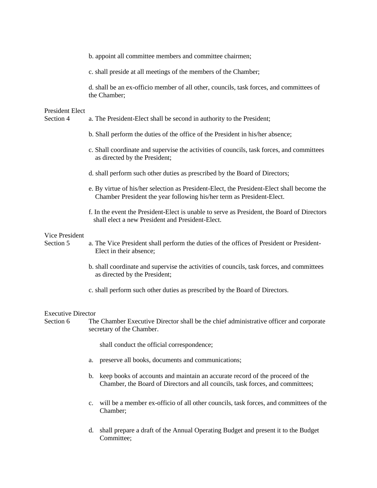|                              | b. appoint all committee members and committee chairmen;                                                                                                            |
|------------------------------|---------------------------------------------------------------------------------------------------------------------------------------------------------------------|
|                              | c. shall preside at all meetings of the members of the Chamber;                                                                                                     |
|                              | d. shall be an ex-officio member of all other, councils, task forces, and committees of<br>the Chamber;                                                             |
| President Elect<br>Section 4 | a. The President-Elect shall be second in authority to the President;                                                                                               |
|                              | b. Shall perform the duties of the office of the President in his/her absence;                                                                                      |
|                              | c. Shall coordinate and supervise the activities of councils, task forces, and committees<br>as directed by the President;                                          |
|                              | d. shall perform such other duties as prescribed by the Board of Directors;                                                                                         |
|                              | e. By virtue of his/her selection as President-Elect, the President-Elect shall become the<br>Chamber President the year following his/her term as President-Elect. |
|                              | f. In the event the President-Elect is unable to serve as President, the Board of Directors<br>shall elect a new President and President-Elect.                     |
| Vice President               |                                                                                                                                                                     |
| Section 5                    | a. The Vice President shall perform the duties of the offices of President or President-<br>Elect in their absence;                                                 |
|                              | b. shall coordinate and supervise the activities of councils, task forces, and committees<br>as directed by the President;                                          |
|                              | c. shall perform such other duties as prescribed by the Board of Directors.                                                                                         |
| <b>Executive Director</b>    |                                                                                                                                                                     |
| Section 6                    | The Chamber Executive Director shall be the chief administrative officer and corporate<br>secretary of the Chamber.                                                 |
|                              | shall conduct the official correspondence;                                                                                                                          |
|                              | preserve all books, documents and communications;<br>a.                                                                                                             |

- b. keep books of accounts and maintain an accurate record of the proceed of the Chamber, the Board of Directors and all councils, task forces, and committees;
- c. will be a member ex-officio of all other councils, task forces, and committees of the Chamber;
- d. shall prepare a draft of the Annual Operating Budget and present it to the Budget Committee;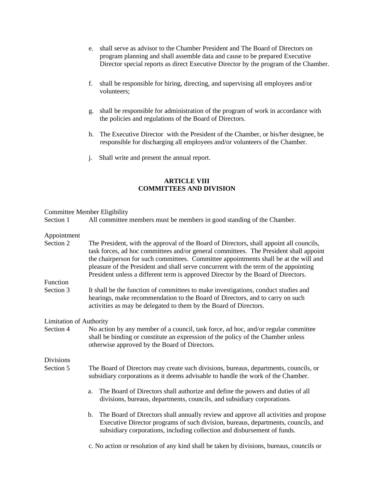- e. shall serve as advisor to the Chamber President and The Board of Directors on program planning and shall assemble data and cause to be prepared Executive Director special reports as direct Executive Director by the program of the Chamber.
- f. shall be responsible for hiring, directing, and supervising all employees and/or volunteers;
- g. shall be responsible for administration of the program of work in accordance with the policies and regulations of the Board of Directors.
- h. The Executive Director with the President of the Chamber, or his/her designee, be responsible for discharging all employees and/or volunteers of the Chamber.
- j. Shall write and present the annual report.

## **ARTICLE VIII COMMITTEES AND DIVISION**

#### Committee Member Eligibility

Section 1 All committee members must be members in good standing of the Chamber.

#### Appointment

- Section 2 The President, with the approval of the Board of Directors, shall appoint all councils, task forces, ad hoc committees and/or general committees. The President shall appoint the chairperson for such committees. Committee appointments shall be at the will and pleasure of the President and shall serve concurrent with the term of the appointing President unless a different term is approved Director by the Board of Directors. Function Section 3 It shall be the function of committees to make investigations, conduct studies and hearings, make recommendation to the Board of Directors, and to carry on such activities as may be delegated to them by the Board of Directors. Limitation of Authority Section 4 No action by any member of a council, task force, ad hoc, and/or regular committee
- shall be binding or constitute an expression of the policy of the Chamber unless otherwise approved by the Board of Directors.

Divisions

- Section 5 The Board of Directors may create such divisions, bureaus, departments, councils, or subsidiary corporations as it deems advisable to handle the work of the Chamber.
	- a. The Board of Directors shall authorize and define the powers and duties of all divisions, bureaus, departments, councils, and subsidiary corporations.
	- b. The Board of Directors shall annually review and approve all activities and propose Executive Director programs of such division, bureaus, departments, councils, and subsidiary corporations, including collection and disbursement of funds.

c. No action or resolution of any kind shall be taken by divisions, bureaus, councils or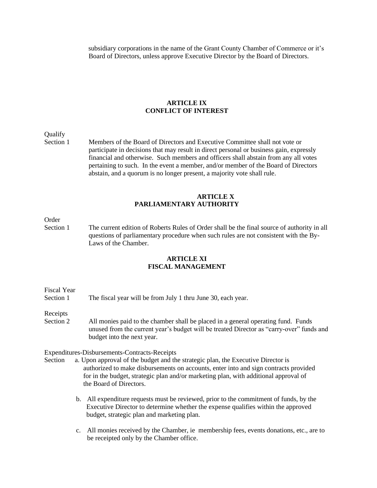subsidiary corporations in the name of the Grant County Chamber of Commerce or it's Board of Directors, unless approve Executive Director by the Board of Directors.

#### **ARTICLE IX CONFLICT OF INTEREST**

Qualify

Section 1 Members of the Board of Directors and Executive Committee shall not vote or participate in decisions that may result in direct personal or business gain, expressly financial and otherwise. Such members and officers shall abstain from any all votes pertaining to such. In the event a member, and/or member of the Board of Directors abstain, and a quorum is no longer present, a majority vote shall rule.

## **ARTICLE X PARLIAMENTARY AUTHORITY**

## Order

Section 1 The current edition of Roberts Rules of Order shall be the final source of authority in all questions of parliamentary procedure when such rules are not consistent with the By-Laws of the Chamber.

## **ARTICLE XI FISCAL MANAGEMENT**

Fiscal Year Section 1 The fiscal year will be from July 1 thru June 30, each year.

Receipts

Section 2 All monies paid to the chamber shall be placed in a general operating fund. Funds unused from the current year's budget will be treated Director as "carry-over" funds and budget into the next year.

Expenditures-Disbursements-Contracts-Receipts

- Section a. Upon approval of the budget and the strategic plan, the Executive Director is authorized to make disbursements on accounts, enter into and sign contracts provided for in the budget, strategic plan and/or marketing plan, with additional approval of the Board of Directors.
	- b. All expenditure requests must be reviewed, prior to the commitment of funds, by the Executive Director to determine whether the expense qualifies within the approved budget, strategic plan and marketing plan.
	- c. All monies received by the Chamber, ie membership fees, events donations, etc., are to be receipted only by the Chamber office.